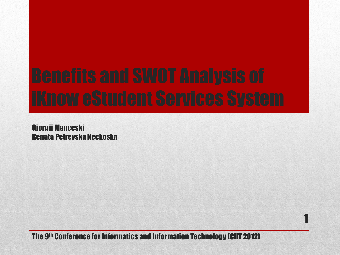Gjorgji Manceski Renata Petrevska Neckoska

The 9 th Conference for Informatics and Information Technology (CIIT 2012)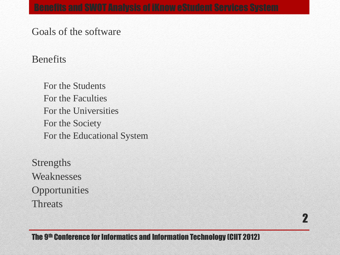Goals of the software

## Benefits

For the Students For the Faculties For the Universities For the Society For the Educational System

Strengths Weaknesses **Opportunities** Threats

The 9 th Conference for Informatics and Information Technology (CIIT 2012)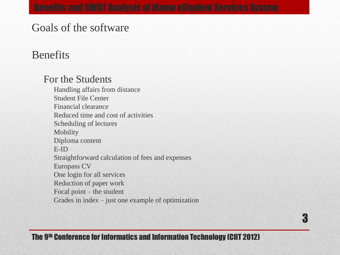# Goals of the software

# Benefits

## For the Students

Handling affairs from distance Student File Center Financial clearance Reduced time and cost of activities Scheduling of lectures Mobility Diploma content E-ID Straightforward calculation of fees and expenses Europass CV One login for all services Reduction of paper work Focal point – the student Grades in index – just one example of optimization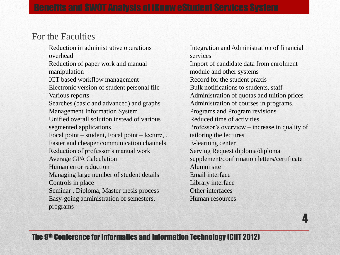## For the Faculties

Reduction in administrative operations overhead Reduction of paper work and manual manipulation ICT based workflow management Electronic version of student personal file Various reports Searches (basic and advanced) and graphs Management Information System Unified overall solution instead of various segmented applications Focal point – student, Focal point – lecture, … Faster and cheaper communication channels Reduction of professor's manual work Average GPA Calculation Human error reduction Managing large number of student details Controls in place Seminar , Diploma, Master thesis process Easy-going administration of semesters, programs

Integration and Administration of financial services Import of candidate data from enrolment module and other systems Record for the student praxis Bulk notifications to students, staff Administration of quotas and tuition prices Administration of courses in programs, Programs and Program revisions Reduced time of activities Professor's overview – increase in quality of tailoring the lectures E-learning center Serving Request diploma/diploma supplement/confirmation letters/certificate Alumni site Email interface Library interface Other interfaces Human resources

4

### The 9 th Conference for Informatics and Information Technology (CIIT 2012)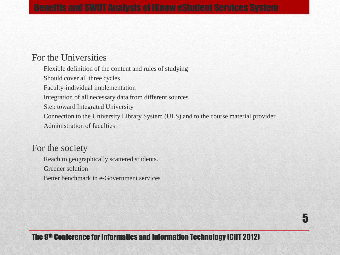### For the Universities

Flexible definition of the content and rules of studying

Should cover all three cycles

Faculty-individual implementation

Integration of all necessary data from different sources

Step toward Integrated University

Connection to the University Library System (ULS) and to the course material provider

Administration of faculties

### For the society

Reach to geographically scattered students.

Greener solution

Better benchmark in e-Government services

### The 9 th Conference for Informatics and Information Technology (CIIT 2012)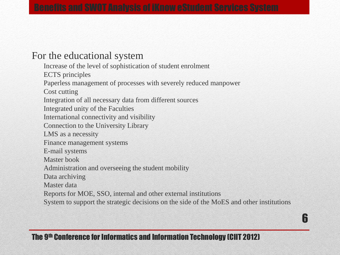## For the educational system

Increase of the level of sophistication of student enrolment

ECTS principles

Paperless management of processes with severely reduced manpower

Cost cutting

Integration of all necessary data from different sources

Integrated unity of the Faculties

International connectivity and visibility

Connection to the University Library

LMS as a necessity

Finance management systems

E-mail systems

Master book

Administration and overseeing the student mobility

Data archiving

Master data

Reports for MOE, SSO, internal and other external institutions

System to support the strategic decisions on the side of the MoES and other institutions

## The 9 th Conference for Informatics and Information Technology (CIIT 2012)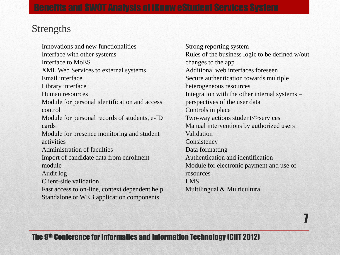## Strengths

Innovations and new functionalities Interface with other systems Interface to MoES XML Web Services to external systems Email interface Library interface Human resources Module for personal identification and access control Module for personal records of students, e-ID cards Module for presence monitoring and student activities Administration of faculties Import of candidate data from enrolment module Audit log Client-side validation Fast access to on-line, context dependent help Standalone or WEB application components

Strong reporting system Rules of the business logic to be defined w/out changes to the app Additional web interfaces foreseen Secure authentication towards multiple heterogeneous resources Integration with the other internal systems – perspectives of the user data Controls in place Two-way actions student<>services Manual interventions by authorized users Validation **Consistency** Data formatting Authentication and identification Module for electronic payment and use of resources LMS Multilingual & Multicultural

7

### The 9 th Conference for Informatics and Information Technology (CIIT 2012)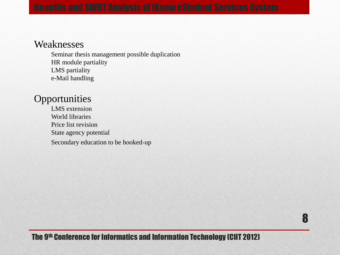### Weaknesses

Seminar thesis management possible duplication HR module partiality LMS partiality e-Mail handling

## **Opportunities**

LMS extension World libraries Price list revision State agency potential Secondary education to be hooked-up

### The 9 th Conference for Informatics and Information Technology (CIIT 2012)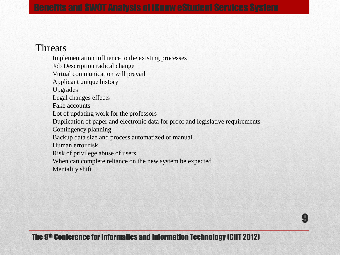## Threats

Implementation influence to the existing processes Job Description radical change Virtual communication will prevail Applicant unique history Upgrades Legal changes effects Fake accounts Lot of updating work for the professors Duplication of paper and electronic data for proof and legislative requirements Contingency planning Backup data size and process automatized or manual Human error risk Risk of privilege abuse of users When can complete reliance on the new system be expected Mentality shift